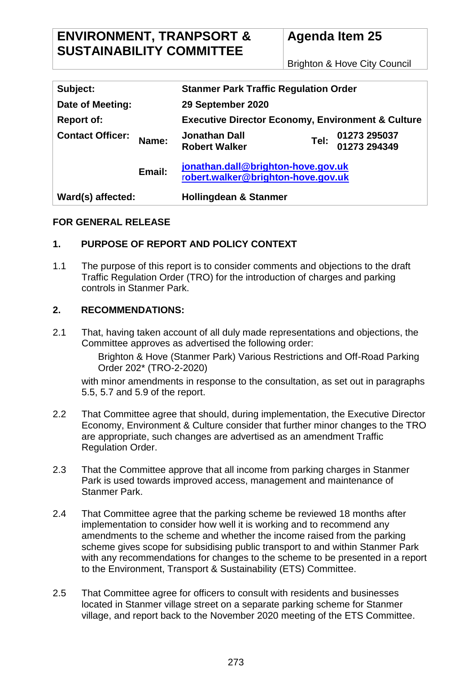Brighton & Hove City Council

| Subject:                |        | <b>Stanmer Park Traffic Regulation Order</b>                             |  |                                   |
|-------------------------|--------|--------------------------------------------------------------------------|--|-----------------------------------|
| Date of Meeting:        |        | 29 September 2020                                                        |  |                                   |
| <b>Report of:</b>       |        | <b>Executive Director Economy, Environment &amp; Culture</b>             |  |                                   |
| <b>Contact Officer:</b> | Name:  | <b>Jonathan Dall</b><br><b>Robert Walker</b>                             |  | Tel: 01273 295037<br>01273 294349 |
|                         | Email: | jonathan.dall@brighton-hove.gov.uk<br>robert.walker@brighton-hove.gov.uk |  |                                   |
| Ward(s) affected:       |        | <b>Hollingdean &amp; Stanmer</b>                                         |  |                                   |

#### **FOR GENERAL RELEASE**

## **1. PURPOSE OF REPORT AND POLICY CONTEXT**

1.1 The purpose of this report is to consider comments and objections to the draft Traffic Regulation Order (TRO) for the introduction of charges and parking controls in Stanmer Park.

#### **2. RECOMMENDATIONS:**

2.1 That, having taken account of all duly made representations and objections, the Committee approves as advertised the following order:

> Brighton & Hove (Stanmer Park) Various Restrictions and Off-Road Parking Order 202\* (TRO-2-2020)

with minor amendments in response to the consultation, as set out in paragraphs 5.5, 5.7 and 5.9 of the report.

- 2.2 That Committee agree that should, during implementation, the Executive Director Economy, Environment & Culture consider that further minor changes to the TRO are appropriate, such changes are advertised as an amendment Traffic Regulation Order.
- 2.3 That the Committee approve that all income from parking charges in Stanmer Park is used towards improved access, management and maintenance of Stanmer Park.
- 2.4 That Committee agree that the parking scheme be reviewed 18 months after implementation to consider how well it is working and to recommend any amendments to the scheme and whether the income raised from the parking scheme gives scope for subsidising public transport to and within Stanmer Park with any recommendations for changes to the scheme to be presented in a report to the Environment, Transport & Sustainability (ETS) Committee.
- 2.5 That Committee agree for officers to consult with residents and businesses located in Stanmer village street on a separate parking scheme for Stanmer village, and report back to the November 2020 meeting of the ETS Committee.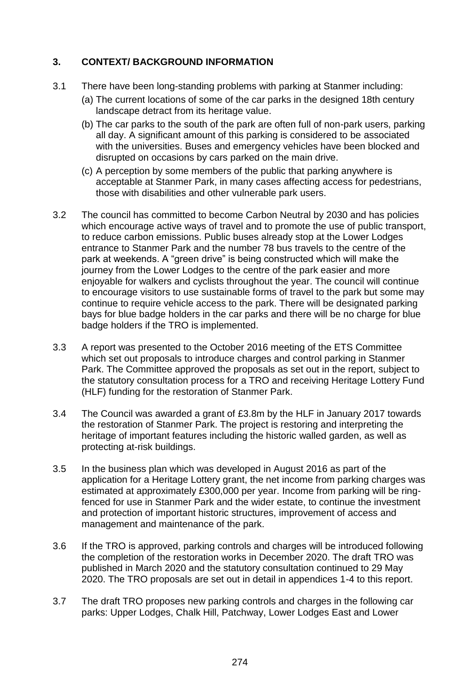## **3. CONTEXT/ BACKGROUND INFORMATION**

- 3.1 There have been long-standing problems with parking at Stanmer including:
	- (a) The current locations of some of the car parks in the designed 18th century landscape detract from its heritage value.
	- (b) The car parks to the south of the park are often full of non-park users, parking all day. A significant amount of this parking is considered to be associated with the universities. Buses and emergency vehicles have been blocked and disrupted on occasions by cars parked on the main drive.
	- (c) A perception by some members of the public that parking anywhere is acceptable at Stanmer Park, in many cases affecting access for pedestrians, those with disabilities and other vulnerable park users.
- 3.2 The council has committed to become Carbon Neutral by 2030 and has policies which encourage active ways of travel and to promote the use of public transport, to reduce carbon emissions. Public buses already stop at the Lower Lodges entrance to Stanmer Park and the number 78 bus travels to the centre of the park at weekends. A "green drive" is being constructed which will make the journey from the Lower Lodges to the centre of the park easier and more enjoyable for walkers and cyclists throughout the year. The council will continue to encourage visitors to use sustainable forms of travel to the park but some may continue to require vehicle access to the park. There will be designated parking bays for blue badge holders in the car parks and there will be no charge for blue badge holders if the TRO is implemented.
- 3.3 A report was presented to the October 2016 meeting of the ETS Committee which set out proposals to introduce charges and control parking in Stanmer Park. The Committee approved the proposals as set out in the report, subject to the statutory consultation process for a TRO and receiving Heritage Lottery Fund (HLF) funding for the restoration of Stanmer Park.
- 3.4 The Council was awarded a grant of £3.8m by the HLF in January 2017 towards the restoration of Stanmer Park. The project is restoring and interpreting the heritage of important features including the historic walled garden, as well as protecting at-risk buildings.
- 3.5 In the business plan which was developed in August 2016 as part of the application for a Heritage Lottery grant, the net income from parking charges was estimated at approximately £300,000 per year. Income from parking will be ringfenced for use in Stanmer Park and the wider estate, to continue the investment and protection of important historic structures, improvement of access and management and maintenance of the park.
- 3.6 If the TRO is approved, parking controls and charges will be introduced following the completion of the restoration works in December 2020. The draft TRO was published in March 2020 and the statutory consultation continued to 29 May 2020. The TRO proposals are set out in detail in appendices 1-4 to this report.
- 3.7 The draft TRO proposes new parking controls and charges in the following car parks: Upper Lodges, Chalk Hill, Patchway, Lower Lodges East and Lower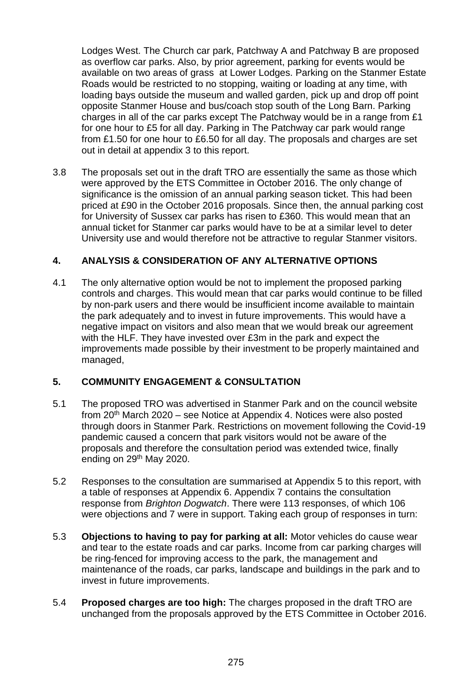Lodges West. The Church car park, Patchway A and Patchway B are proposed as overflow car parks. Also, by prior agreement, parking for events would be available on two areas of grass at Lower Lodges. Parking on the Stanmer Estate Roads would be restricted to no stopping, waiting or loading at any time, with loading bays outside the museum and walled garden, pick up and drop off point opposite Stanmer House and bus/coach stop south of the Long Barn. Parking charges in all of the car parks except The Patchway would be in a range from £1 for one hour to £5 for all day. Parking in The Patchway car park would range from £1.50 for one hour to £6.50 for all day. The proposals and charges are set out in detail at appendix 3 to this report.

3.8 The proposals set out in the draft TRO are essentially the same as those which were approved by the ETS Committee in October 2016. The only change of significance is the omission of an annual parking season ticket. This had been priced at £90 in the October 2016 proposals. Since then, the annual parking cost for University of Sussex car parks has risen to £360. This would mean that an annual ticket for Stanmer car parks would have to be at a similar level to deter University use and would therefore not be attractive to regular Stanmer visitors.

## **4. ANALYSIS & CONSIDERATION OF ANY ALTERNATIVE OPTIONS**

4.1 The only alternative option would be not to implement the proposed parking controls and charges. This would mean that car parks would continue to be filled by non-park users and there would be insufficient income available to maintain the park adequately and to invest in future improvements. This would have a negative impact on visitors and also mean that we would break our agreement with the HLF. They have invested over £3m in the park and expect the improvements made possible by their investment to be properly maintained and managed,

### **5. COMMUNITY ENGAGEMENT & CONSULTATION**

- 5.1 The proposed TRO was advertised in Stanmer Park and on the council website from 20th March 2020 – see Notice at Appendix 4. Notices were also posted through doors in Stanmer Park. Restrictions on movement following the Covid-19 pandemic caused a concern that park visitors would not be aware of the proposals and therefore the consultation period was extended twice, finally ending on 29<sup>th</sup> May 2020.
- 5.2 Responses to the consultation are summarised at Appendix 5 to this report, with a table of responses at Appendix 6. Appendix 7 contains the consultation response from *Brighton Dogwatch*. There were 113 responses, of which 106 were objections and 7 were in support. Taking each group of responses in turn:
- 5.3 **Objections to having to pay for parking at all:** Motor vehicles do cause wear and tear to the estate roads and car parks. Income from car parking charges will be ring-fenced for improving access to the park, the management and maintenance of the roads, car parks, landscape and buildings in the park and to invest in future improvements.
- 5.4 **Proposed charges are too high:** The charges proposed in the draft TRO are unchanged from the proposals approved by the ETS Committee in October 2016.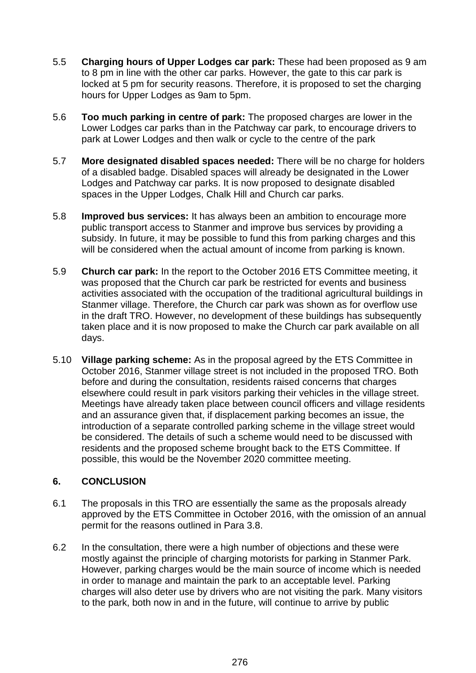- 5.5 **Charging hours of Upper Lodges car park:** These had been proposed as 9 am to 8 pm in line with the other car parks. However, the gate to this car park is locked at 5 pm for security reasons. Therefore, it is proposed to set the charging hours for Upper Lodges as 9am to 5pm.
- 5.6 **Too much parking in centre of park:** The proposed charges are lower in the Lower Lodges car parks than in the Patchway car park, to encourage drivers to park at Lower Lodges and then walk or cycle to the centre of the park
- 5.7 **More designated disabled spaces needed:** There will be no charge for holders of a disabled badge. Disabled spaces will already be designated in the Lower Lodges and Patchway car parks. It is now proposed to designate disabled spaces in the Upper Lodges, Chalk Hill and Church car parks.
- 5.8 **Improved bus services:** It has always been an ambition to encourage more public transport access to Stanmer and improve bus services by providing a subsidy. In future, it may be possible to fund this from parking charges and this will be considered when the actual amount of income from parking is known.
- 5.9 **Church car park:** In the report to the October 2016 ETS Committee meeting, it was proposed that the Church car park be restricted for events and business activities associated with the occupation of the traditional agricultural buildings in Stanmer village. Therefore, the Church car park was shown as for overflow use in the draft TRO. However, no development of these buildings has subsequently taken place and it is now proposed to make the Church car park available on all days.
- 5.10 **Village parking scheme:** As in the proposal agreed by the ETS Committee in October 2016, Stanmer village street is not included in the proposed TRO. Both before and during the consultation, residents raised concerns that charges elsewhere could result in park visitors parking their vehicles in the village street. Meetings have already taken place between council officers and village residents and an assurance given that, if displacement parking becomes an issue, the introduction of a separate controlled parking scheme in the village street would be considered. The details of such a scheme would need to be discussed with residents and the proposed scheme brought back to the ETS Committee. If possible, this would be the November 2020 committee meeting.

# **6. CONCLUSION**

- 6.1 The proposals in this TRO are essentially the same as the proposals already approved by the ETS Committee in October 2016, with the omission of an annual permit for the reasons outlined in Para 3.8.
- 6.2 In the consultation, there were a high number of objections and these were mostly against the principle of charging motorists for parking in Stanmer Park. However, parking charges would be the main source of income which is needed in order to manage and maintain the park to an acceptable level. Parking charges will also deter use by drivers who are not visiting the park. Many visitors to the park, both now in and in the future, will continue to arrive by public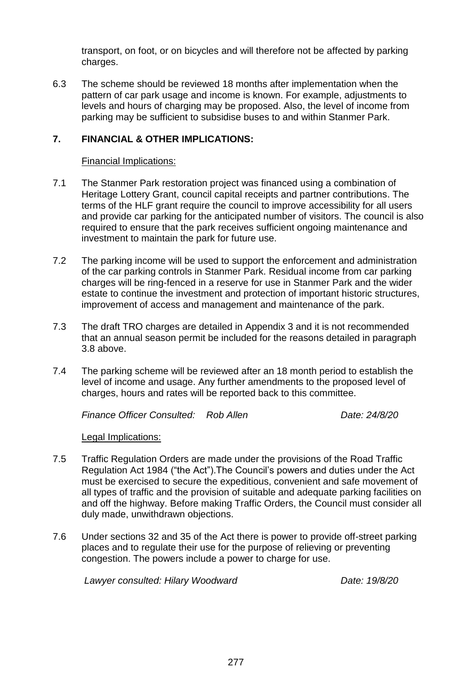transport, on foot, or on bicycles and will therefore not be affected by parking charges.

6.3 The scheme should be reviewed 18 months after implementation when the pattern of car park usage and income is known. For example, adjustments to levels and hours of charging may be proposed. Also, the level of income from parking may be sufficient to subsidise buses to and within Stanmer Park.

## **7. FINANCIAL & OTHER IMPLICATIONS:**

#### Financial Implications:

- 7.1 The Stanmer Park restoration project was financed using a combination of Heritage Lottery Grant, council capital receipts and partner contributions. The terms of the HLF grant require the council to improve accessibility for all users and provide car parking for the anticipated number of visitors. The council is also required to ensure that the park receives sufficient ongoing maintenance and investment to maintain the park for future use.
- 7.2 The parking income will be used to support the enforcement and administration of the car parking controls in Stanmer Park. Residual income from car parking charges will be ring-fenced in a reserve for use in Stanmer Park and the wider estate to continue the investment and protection of important historic structures, improvement of access and management and maintenance of the park.
- 7.3 The draft TRO charges are detailed in Appendix 3 and it is not recommended that an annual season permit be included for the reasons detailed in paragraph 3.8 above.
- 7.4 The parking scheme will be reviewed after an 18 month period to establish the level of income and usage. Any further amendments to the proposed level of charges, hours and rates will be reported back to this committee.

*Finance Officer Consulted: Rob Allen Date: 24/8/20*

Legal Implications:

- 7.5 Traffic Regulation Orders are made under the provisions of the Road Traffic Regulation Act 1984 ("the Act").The Council's powers and duties under the Act must be exercised to secure the expeditious, convenient and safe movement of all types of traffic and the provision of suitable and adequate parking facilities on and off the highway. Before making Traffic Orders, the Council must consider all duly made, unwithdrawn objections.
- 7.6 Under sections 32 and 35 of the Act there is power to provide off-street parking places and to regulate their use for the purpose of relieving or preventing congestion. The powers include a power to charge for use.

*Lawyer consulted: Hilary Woodward Date: 19/8/20*